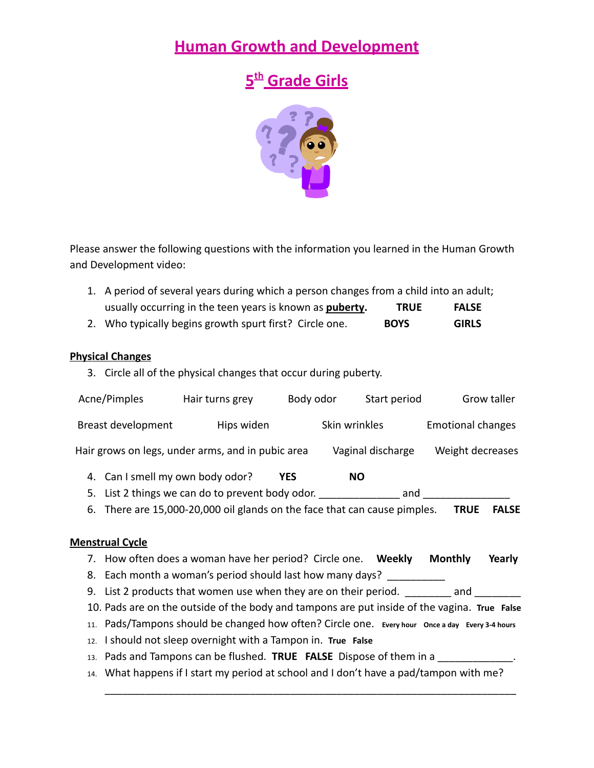## **Human Growth and Development**

# **5 th Grade Girls**



Please answer the following questions with the information you learned in the Human Growth and Development video:

- 1. A period of several years during which a person changes from a child into an adult; usually occurring in the teen years is known as **puberty. TRUE FALSE**
- 2. Who typically begins growth spurt first? Circle one. **BOYS GIRLS**

### **Physical Changes**

3. Circle all of the physical changes that occur during puberty.

|                                                                                              | Acne/Pimples                                                          | Hair turns grey                                                                                 | Body odor | Start period      |                          | Grow taller  |
|----------------------------------------------------------------------------------------------|-----------------------------------------------------------------------|-------------------------------------------------------------------------------------------------|-----------|-------------------|--------------------------|--------------|
| Breast development                                                                           |                                                                       | Hips widen                                                                                      |           | Skin wrinkles     | <b>Emotional changes</b> |              |
|                                                                                              |                                                                       | Hair grows on legs, under arms, and in pubic area                                               |           | Vaginal discharge | Weight decreases         |              |
|                                                                                              | 4. Can I smell my own body odor?                                      |                                                                                                 | YES       | NO.               |                          |              |
|                                                                                              |                                                                       | 5. List 2 things we can do to prevent body odor. The same and                                   |           |                   |                          |              |
|                                                                                              |                                                                       | 6. There are 15,000-20,000 oil glands on the face that can cause pimples.                       |           |                   | <b>TRUE</b>              | <b>FALSE</b> |
|                                                                                              |                                                                       |                                                                                                 |           |                   |                          |              |
|                                                                                              | <b>Menstrual Cycle</b>                                                |                                                                                                 |           |                   |                          |              |
|                                                                                              |                                                                       | 7. How often does a woman have her period? Circle one. Weekly                                   |           |                   | <b>Monthly</b>           | Yearly       |
|                                                                                              | 8. Each month a woman's period should last how many days? ___________ |                                                                                                 |           |                   |                          |              |
|                                                                                              |                                                                       | 9. List 2 products that women use when they are on their period. ___________ and ____           |           |                   |                          |              |
| 10. Pads are on the outside of the body and tampons are put inside of the vagina. True False |                                                                       |                                                                                                 |           |                   |                          |              |
|                                                                                              |                                                                       | 11. Pads/Tampons should be changed how often? Circle one. Every hour Once a day Every 3-4 hours |           |                   |                          |              |

- 12. I should not sleep overnight with a Tampon in. **True False**
- 13. Pads and Tampons can be flushed. **TRUE FALSE** Dispose of them in a **Theory Containst Law**.
- 14. What happens if I start my period at school and I don't have a pad/tampon with me?

\_\_\_\_\_\_\_\_\_\_\_\_\_\_\_\_\_\_\_\_\_\_\_\_\_\_\_\_\_\_\_\_\_\_\_\_\_\_\_\_\_\_\_\_\_\_\_\_\_\_\_\_\_\_\_\_\_\_\_\_\_\_\_\_\_\_\_\_\_\_\_